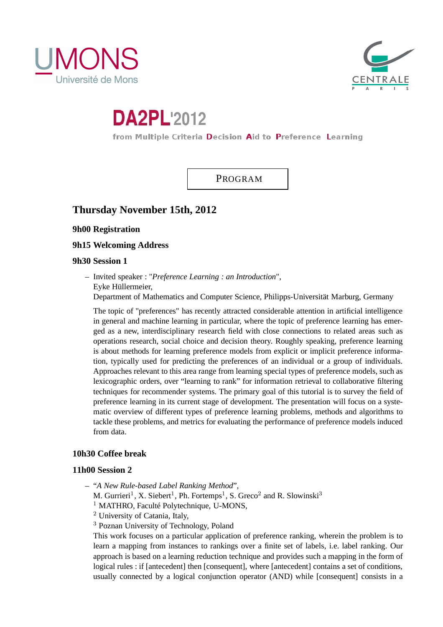



# **DA2PL'2012**

from Multiple Criteria Decision Aid to Preference Learning

PROGRAM

# **Thursday November 15th, 2012**

**9h00 Registration**

**9h15 Welcoming Address**

# **9h30 Session 1**

– Invited speaker : "*Preference Learning : an Introduction*", Eyke Hüllermeier, Department of Mathematics and Computer Science, Philipps-Universität Marburg, Germany

The topic of "preferences" has recently attracted considerable attention in artificial intelligence in general and machine learning in particular, where the topic of preference learning has emerged as a new, interdisciplinary research field with close connections to related areas such as operations research, social choice and decision theory. Roughly speaking, preference learning is about methods for learning preference models from explicit or implicit preference information, typically used for predicting the preferences of an individual or a group of individuals. Approaches relevant to this area range from learning special types of preference models, such as lexicographic orders, over "learning to rank" for information retrieval to collaborative filtering techniques for recommender systems. The primary goal of this tutorial is to survey the field of preference learning in its current stage of development. The presentation will focus on a systematic overview of different types of preference learning problems, methods and algorithms to tackle these problems, and metrics for evaluating the performance of preference models induced from data.

# **10h30 Coffee break**

## **11h00 Session 2**

- "*A New Rule-based Label Ranking Method*",
	- M. Gurrieri<sup>1</sup>, X. Siebert<sup>1</sup>, Ph. Fortemps<sup>1</sup>, S. Greco<sup>2</sup> and R. Slowinski<sup>3</sup>
	- <sup>1</sup> MATHRO, Faculté Polytechnique, U-MONS,
	- <sup>2</sup> University of Catania, Italy,
	- <sup>3</sup> Poznan University of Technology, Poland

This work focuses on a particular application of preference ranking, wherein the problem is to learn a mapping from instances to rankings over a finite set of labels, i.e. label ranking. Our approach is based on a learning reduction technique and provides such a mapping in the form of logical rules : if [antecedent] then [consequent], where [antecedent] contains a set of conditions, usually connected by a logical conjunction operator (AND) while [consequent] consists in a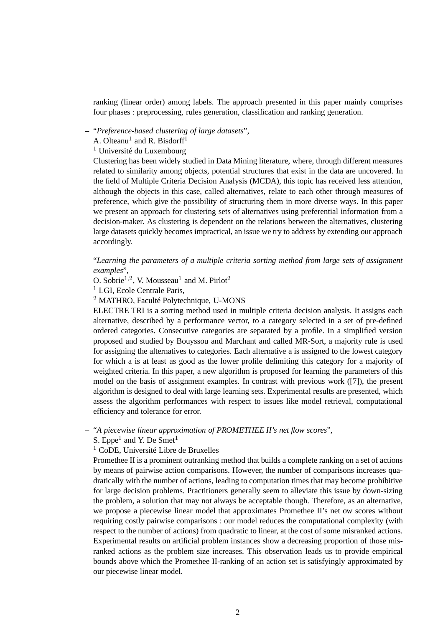ranking (linear order) among labels. The approach presented in this paper mainly comprises four phases : preprocessing, rules generation, classification and ranking generation.

## – "*Preference-based clustering of large datasets*",

A. Olteanu<sup>1</sup> and R. Bisdorff<sup>1</sup>

<sup>1</sup> Université du Luxembourg

Clustering has been widely studied in Data Mining literature, where, through different measures related to similarity among objects, potential structures that exist in the data are uncovered. In the field of Multiple Criteria Decision Analysis (MCDA), this topic has received less attention, although the objects in this case, called alternatives, relate to each other through measures of preference, which give the possibility of structuring them in more diverse ways. In this paper we present an approach for clustering sets of alternatives using preferential information from a decision-maker. As clustering is dependent on the relations between the alternatives, clustering large datasets quickly becomes impractical, an issue we try to address by extending our approach accordingly.

– "*Learning the parameters of a multiple criteria sorting method from large sets of assignment examples*",

O. Sobrie<sup>1,2</sup>, V. Mousseau<sup>1</sup> and M. Pirlot<sup>2</sup>

<sup>1</sup> LGI, Ecole Centrale Paris,

<sup>2</sup> MATHRO, Faculté Polytechnique, U-MONS

ELECTRE TRI is a sorting method used in multiple criteria decision analysis. It assigns each alternative, described by a performance vector, to a category selected in a set of pre-defined ordered categories. Consecutive categories are separated by a profile. In a simplified version proposed and studied by Bouyssou and Marchant and called MR-Sort, a majority rule is used for assigning the alternatives to categories. Each alternative a is assigned to the lowest category for which a is at least as good as the lower profile delimiting this category for a majority of weighted criteria. In this paper, a new algorithm is proposed for learning the parameters of this model on the basis of assignment examples. In contrast with previous work ([7]), the present algorithm is designed to deal with large learning sets. Experimental results are presented, which assess the algorithm performances with respect to issues like model retrieval, computational efficiency and tolerance for error.

– "*A piecewise linear approximation of PROMETHEE II's net flow scores*",

S. Eppe<sup>1</sup> and Y. De Smet<sup>1</sup>

 $<sup>1</sup>$  CoDE, Université Libre de Bruxelles</sup>

Promethee II is a prominent outranking method that builds a complete ranking on a set of actions by means of pairwise action comparisons. However, the number of comparisons increases quadratically with the number of actions, leading to computation times that may become prohibitive for large decision problems. Practitioners generally seem to alleviate this issue by down-sizing the problem, a solution that may not always be acceptable though. Therefore, as an alternative, we propose a piecewise linear model that approximates Promethee II's net ow scores without requiring costly pairwise comparisons : our model reduces the computational complexity (with respect to the number of actions) from quadratic to linear, at the cost of some misranked actions. Experimental results on artificial problem instances show a decreasing proportion of those misranked actions as the problem size increases. This observation leads us to provide empirical bounds above which the Promethee II-ranking of an action set is satisfyingly approximated by our piecewise linear model.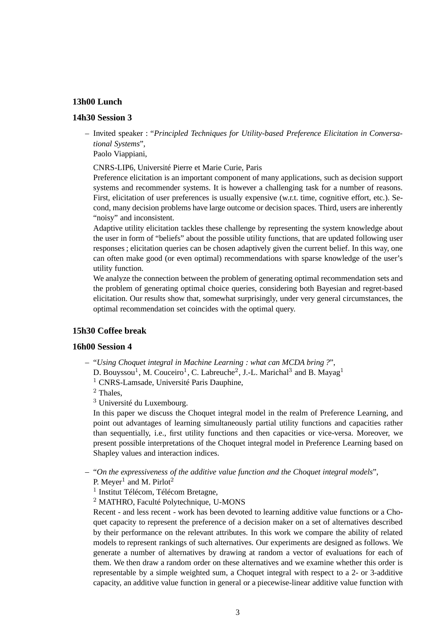## **13h00 Lunch**

## **14h30 Session 3**

– Invited speaker : "*Principled Techniques for Utility-based Preference Elicitation in Conversational Systems*",

Paolo Viappiani,

CNRS-LIP6, Université Pierre et Marie Curie, Paris

Preference elicitation is an important component of many applications, such as decision support systems and recommender systems. It is however a challenging task for a number of reasons. First, elicitation of user preferences is usually expensive (w.r.t. time, cognitive effort, etc.). Second, many decision problems have large outcome or decision spaces. Third, users are inherently "noisy" and inconsistent.

Adaptive utility elicitation tackles these challenge by representing the system knowledge about the user in form of "beliefs" about the possible utility functions, that are updated following user responses ; elicitation queries can be chosen adaptively given the current belief. In this way, one can often make good (or even optimal) recommendations with sparse knowledge of the user's utility function.

We analyze the connection between the problem of generating optimal recommendation sets and the problem of generating optimal choice queries, considering both Bayesian and regret-based elicitation. Our results show that, somewhat surprisingly, under very general circumstances, the optimal recommendation set coincides with the optimal query.

# **15h30 Coffee break**

#### **16h00 Session 4**

– "*Using Choquet integral in Machine Learning : what can MCDA bring ?*",

D. Bouyssou<sup>1</sup>, M. Couceiro<sup>1</sup>, C. Labreuche<sup>2</sup>, J.-L. Marichal<sup>3</sup> and B. Mayag<sup>1</sup>

<sup>1</sup> CNRS-Lamsade, Université Paris Dauphine,

<sup>2</sup> Thales,

<sup>3</sup> Université du Luxembourg.

In this paper we discuss the Choquet integral model in the realm of Preference Learning, and point out advantages of learning simultaneously partial utility functions and capacities rather than sequentially, i.e., first utility functions and then capacities or vice-versa. Moreover, we present possible interpretations of the Choquet integral model in Preference Learning based on Shapley values and interaction indices.

- "*On the expressiveness of the additive value function and the Choquet integral models*", P. Meyer<sup>1</sup> and M. Pirlot<sup>2</sup>
	- <sup>1</sup> Institut Télécom, Télécom Bretagne,

<sup>2</sup> MATHRO, Faculté Polytechnique, U-MONS

Recent - and less recent - work has been devoted to learning additive value functions or a Choquet capacity to represent the preference of a decision maker on a set of alternatives described by their performance on the relevant attributes. In this work we compare the ability of related models to represent rankings of such alternatives. Our experiments are designed as follows. We generate a number of alternatives by drawing at random a vector of evaluations for each of them. We then draw a random order on these alternatives and we examine whether this order is representable by a simple weighted sum, a Choquet integral with respect to a 2- or 3-additive capacity, an additive value function in general or a piecewise-linear additive value function with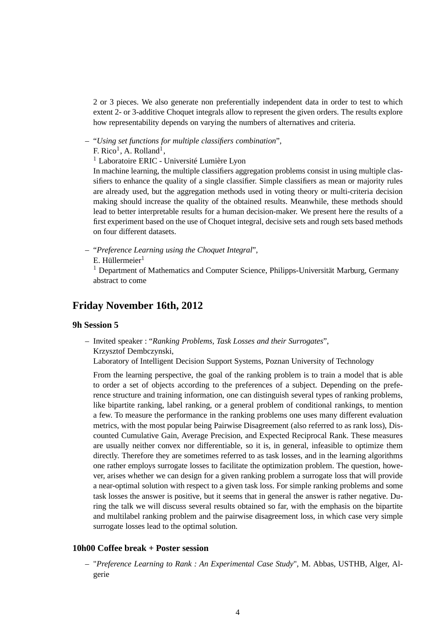2 or 3 pieces. We also generate non preferentially independent data in order to test to which extent 2- or 3-additive Choquet integrals allow to represent the given orders. The results explore how representability depends on varying the numbers of alternatives and criteria.

– "*Using set functions for multiple classifiers combination*",

F. Rico<sup>1</sup>, A. Rolland<sup>1</sup>,

<sup>1</sup> Laboratoire ERIC - Université Lumière Lyon

In machine learning, the multiple classifiers aggregation problems consist in using multiple classifiers to enhance the quality of a single classifier. Simple classifiers as mean or majority rules are already used, but the aggregation methods used in voting theory or multi-criteria decision making should increase the quality of the obtained results. Meanwhile, these methods should lead to better interpretable results for a human decision-maker. We present here the results of a first experiment based on the use of Choquet integral, decisive sets and rough sets based methods on four different datasets.

- "*Preference Learning using the Choquet Integral*",
	- $E.$  Hüllermeier $<sup>1</sup>$ </sup>

<sup>1</sup> Department of Mathematics and Computer Science, Philipps-Universität Marburg, Germany abstract to come

# **Friday November 16th, 2012**

# **9h Session 5**

– Invited speaker : "*Ranking Problems, Task Losses and their Surrogates*", Krzysztof Dembczynski,

Laboratory of Intelligent Decision Support Systems, Poznan University of Technology

From the learning perspective, the goal of the ranking problem is to train a model that is able to order a set of objects according to the preferences of a subject. Depending on the preference structure and training information, one can distinguish several types of ranking problems, like bipartite ranking, label ranking, or a general problem of conditional rankings, to mention a few. To measure the performance in the ranking problems one uses many different evaluation metrics, with the most popular being Pairwise Disagreement (also referred to as rank loss), Discounted Cumulative Gain, Average Precision, and Expected Reciprocal Rank. These measures are usually neither convex nor differentiable, so it is, in general, infeasible to optimize them directly. Therefore they are sometimes referred to as task losses, and in the learning algorithms one rather employs surrogate losses to facilitate the optimization problem. The question, however, arises whether we can design for a given ranking problem a surrogate loss that will provide a near-optimal solution with respect to a given task loss. For simple ranking problems and some task losses the answer is positive, but it seems that in general the answer is rather negative. During the talk we will discuss several results obtained so far, with the emphasis on the bipartite and multilabel ranking problem and the pairwise disagreement loss, in which case very simple surrogate losses lead to the optimal solution.

## **10h00 Coffee break + Poster session**

– "*Preference Learning to Rank : An Experimental Case Study*", M. Abbas, USTHB, Alger, Algerie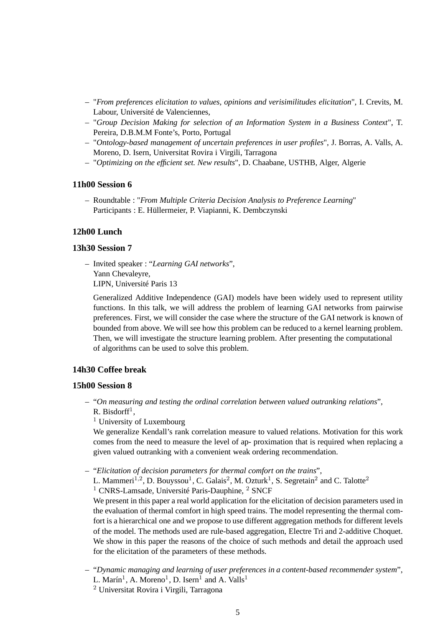- "*From preferences elicitation to values, opinions and verisimilitudes elicitation*", I. Crevits, M. Labour, Université de Valenciennes,
- "*Group Decision Making for selection of an Information System in a Business Context*", T. Pereira, D.B.M.M Fonte's, Porto, Portugal
- "*Ontology-based management of uncertain preferences in user profiles*", J. Borras, A. Valls, A. Moreno, D. Isern, Universitat Rovira i Virgili, Tarragona
- "*Optimizing on the efficient set. New results*", D. Chaabane, USTHB, Alger, Algerie

### **11h00 Session 6**

– Roundtable : "*From Multiple Criteria Decision Analysis to Preference Learning*" Participants : E. Hüllermeier, P. Viapianni, K. Dembczynski

## **12h00 Lunch**

## **13h30 Session 7**

– Invited speaker : "*Learning GAI networks*", Yann Chevaleyre, LIPN, Université Paris 13

Generalized Additive Independence (GAI) models have been widely used to represent utility functions. In this talk, we will address the problem of learning GAI networks from pairwise preferences. First, we will consider the case where the structure of the GAI network is known of bounded from above. We will see how this problem can be reduced to a kernel learning problem. Then, we will investigate the structure learning problem. After presenting the computational of algorithms can be used to solve this problem.

## **14h30 Coffee break**

### **15h00 Session 8**

– "*On measuring and testing the ordinal correlation between valued outranking relations*",  $R.$  Bisdorff<sup>1</sup>,

<sup>1</sup> University of Luxembourg

We generalize Kendall's rank correlation measure to valued relations. Motivation for this work comes from the need to measure the level of ap- proximation that is required when replacing a given valued outranking with a convenient weak ordering recommendation.

– "*Elicitation of decision parameters for thermal comfort on the trains*",

L. Mammeri<sup>1,2</sup>, D. Bouyssou<sup>1</sup>, C. Galais<sup>2</sup>, M. Ozturk<sup>1</sup>, S. Segretain<sup>2</sup> and C. Talotte<sup>2</sup>

<sup>1</sup> CNRS-Lamsade, Université Paris-Dauphine, <sup>2</sup> SNCF

We present in this paper a real world application for the elicitation of decision parameters used in the evaluation of thermal comfort in high speed trains. The model representing the thermal comfort is a hierarchical one and we propose to use different aggregation methods for different levels of the model. The methods used are rule-based aggregation, Electre Tri and 2-additive Choquet. We show in this paper the reasons of the choice of such methods and detail the approach used for the elicitation of the parameters of these methods.

– "*Dynamic managing and learning of user preferences in a content-based recommender system*", L. Marín<sup>1</sup>, A. Moreno<sup>1</sup>, D. Isern<sup>1</sup> and A. Valls<sup>1</sup>

<sup>2</sup> Universitat Rovira i Virgili, Tarragona